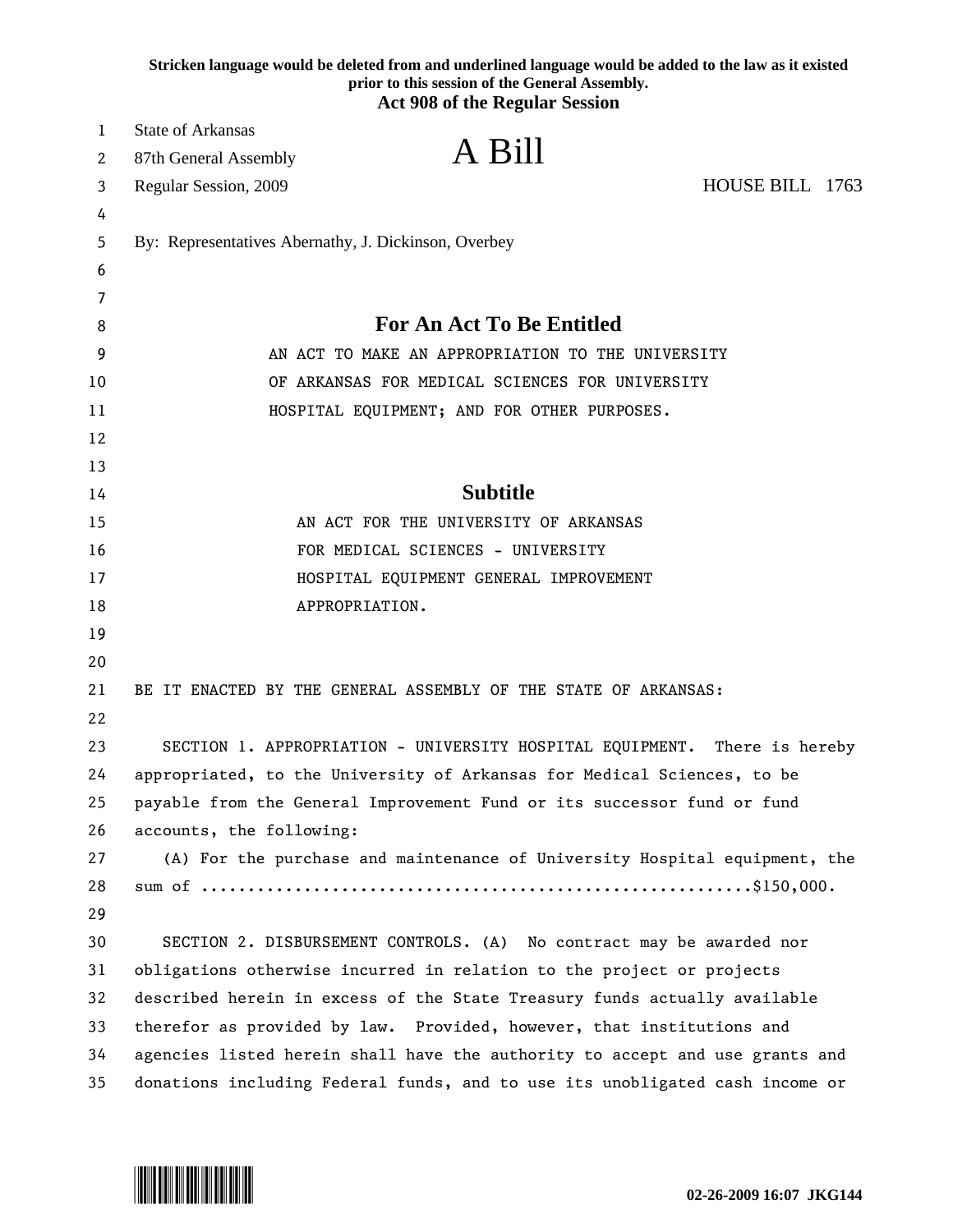|    | Stricken language would be deleted from and underlined language would be added to the law as it existed<br>prior to this session of the General Assembly.<br><b>Act 908 of the Regular Session</b> |
|----|----------------------------------------------------------------------------------------------------------------------------------------------------------------------------------------------------|
| 1  | <b>State of Arkansas</b>                                                                                                                                                                           |
| 2  | A Bill<br>87th General Assembly                                                                                                                                                                    |
| 3  | HOUSE BILL 1763<br>Regular Session, 2009                                                                                                                                                           |
| 4  |                                                                                                                                                                                                    |
| 5  | By: Representatives Abernathy, J. Dickinson, Overbey                                                                                                                                               |
| 6  |                                                                                                                                                                                                    |
| 7  |                                                                                                                                                                                                    |
| 8  | <b>For An Act To Be Entitled</b>                                                                                                                                                                   |
| 9  | AN ACT TO MAKE AN APPROPRIATION TO THE UNIVERSITY                                                                                                                                                  |
| 10 | OF ARKANSAS FOR MEDICAL SCIENCES FOR UNIVERSITY                                                                                                                                                    |
| 11 | HOSPITAL EQUIPMENT; AND FOR OTHER PURPOSES.                                                                                                                                                        |
| 12 |                                                                                                                                                                                                    |
| 13 |                                                                                                                                                                                                    |
| 14 | <b>Subtitle</b>                                                                                                                                                                                    |
| 15 | AN ACT FOR THE UNIVERSITY OF ARKANSAS                                                                                                                                                              |
| 16 | FOR MEDICAL SCIENCES - UNIVERSITY                                                                                                                                                                  |
| 17 | HOSPITAL EQUIPMENT GENERAL IMPROVEMENT                                                                                                                                                             |
| 18 | APPROPRIATION.                                                                                                                                                                                     |
| 19 |                                                                                                                                                                                                    |
| 20 |                                                                                                                                                                                                    |
| 21 | BE IT ENACTED BY THE GENERAL ASSEMBLY OF THE STATE OF ARKANSAS:                                                                                                                                    |
| 22 |                                                                                                                                                                                                    |
| 23 | SECTION 1. APPROPRIATION - UNIVERSITY HOSPITAL EQUIPMENT.<br>There is hereby                                                                                                                       |
| 24 | appropriated, to the University of Arkansas for Medical Sciences, to be                                                                                                                            |
| 25 | payable from the General Improvement Fund or its successor fund or fund                                                                                                                            |
| 26 | accounts, the following:                                                                                                                                                                           |
| 27 | (A) For the purchase and maintenance of University Hospital equipment, the                                                                                                                         |
| 28 |                                                                                                                                                                                                    |
| 29 |                                                                                                                                                                                                    |
| 30 | SECTION 2. DISBURSEMENT CONTROLS. (A) No contract may be awarded nor                                                                                                                               |
| 31 | obligations otherwise incurred in relation to the project or projects                                                                                                                              |
| 32 | described herein in excess of the State Treasury funds actually available                                                                                                                          |
| 33 | therefor as provided by law. Provided, however, that institutions and                                                                                                                              |
| 34 | agencies listed herein shall have the authority to accept and use grants and                                                                                                                       |
| 35 | donations including Federal funds, and to use its unobligated cash income or                                                                                                                       |